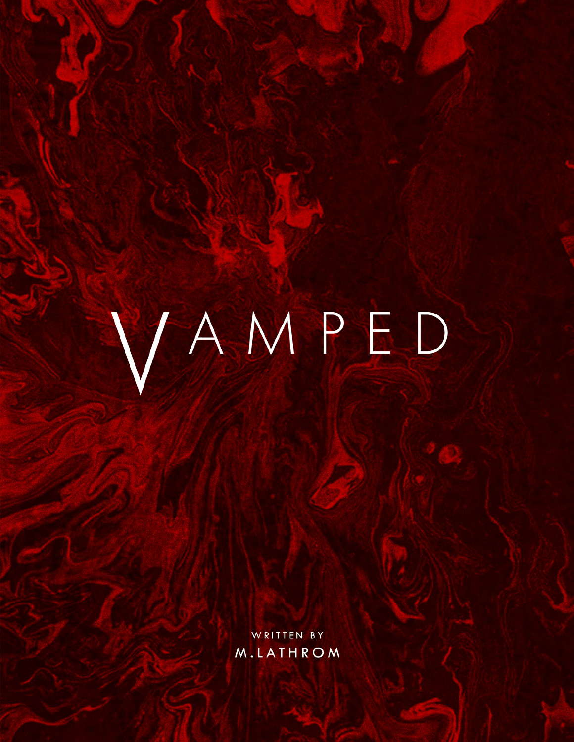# VAMPED

WRITTEN BY M.LATHROM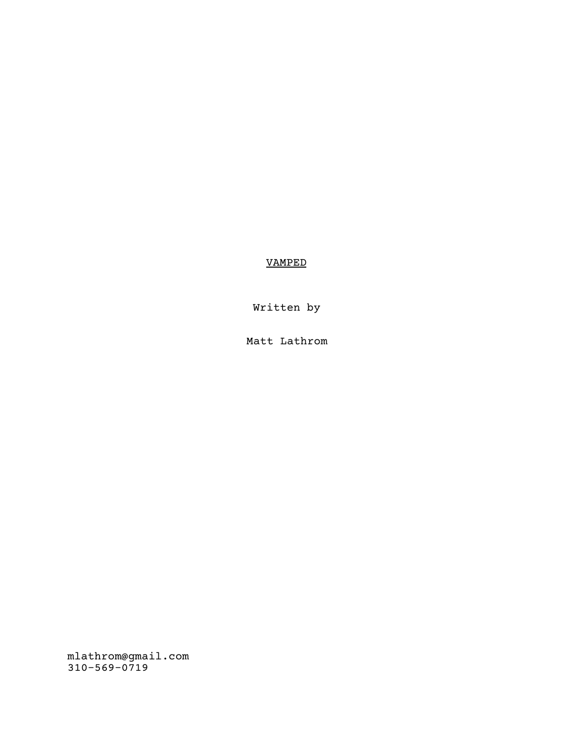# VAMPED

Written by

Matt Lathrom

mlathrom@gmail.com 310-569-0719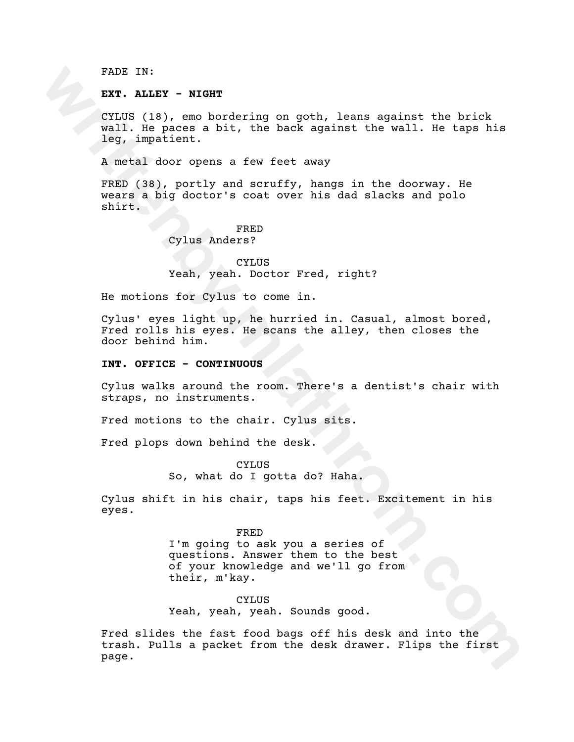FADE IN:

**EXT. ALLEY - NIGHT**

CYLUS (18), emo bordering on goth, leans against the brick wall. He paces a bit, the back against the wall. He taps his leg, impatient.

A metal door opens a few feet away

FRED (38), portly and scruffy, hangs in the doorway. He wears a big doctor's coat over his dad slacks and polo shirt.

FRED

Cylus Anders?

CYLUS Yeah, yeah. Doctor Fred, right?

He motions for Cylus to come in.

Cylus' eyes light up, he hurried in. Casual, almost bored, Fred rolls his eyes. He scans the alley, then closes the door behind him.

#### **INT. OFFICE - CONTINUOUS**

Cylus walks around the room. There's a dentist's chair with straps, no instruments.

Fred motions to the chair. Cylus sits.

Fred plops down behind the desk.

CYLUS So, what do I gotta do? Haha.

Cylus shift in his chair, taps his feet. Excitement in his eyes.

FADE IN:<br>
EXT. NLLTY - WIGHT<br>
CYLUS (18), emo bordering on goth, leans against the brick<br>
vall. Me paces a bit, the back against the wall. Me taps his<br>
leg, impatient.<br>
A metal door opens a few feet away<br>
FRED (38), portly FRED I'm going to ask you a series of questions. Answer them to the best of your knowledge and we'll go from their, m'kay.

CYLUS Yeah, yeah, yeah. Sounds good.

Fred slides the fast food bags off his desk and into the trash. Pulls a packet from the desk drawer. Flips the first page.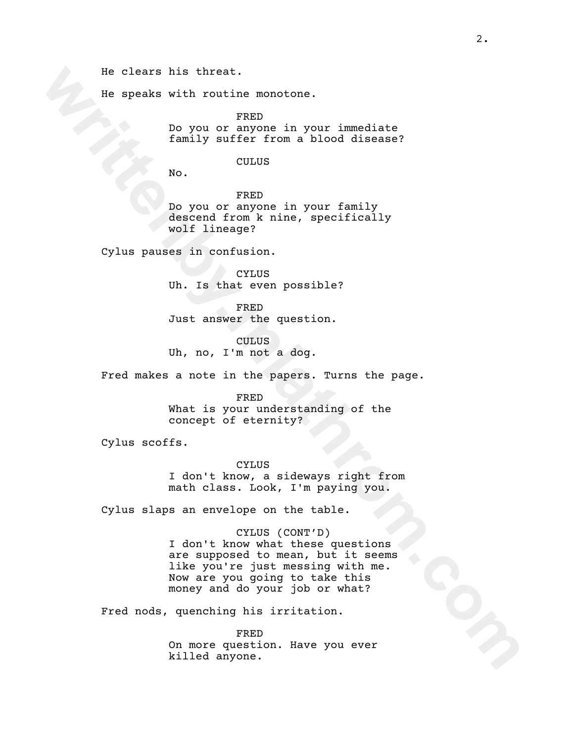He clears his threat.

He speaks with routine monotone.

FRED Do you or anyone in your immediate family suffer from a blood disease?

# CULUS

No.

FRED Do you or anyone in your family descend from k nine, specifically wolf lineage?

Cylus pauses in confusion.

CYLUS Uh. Is that even possible?

FRED Just answer the question.

CULUS Uh, no, I'm not a dog.

Fred makes a note in the papers. Turns the page.

#### FRED

What is your understanding of the concept of eternity?

Cylus scoffs.

CYLUS I don't know, a sideways right from math class. Look, I'm paying you.

Cylus slaps an envelope on the table.

# CYLUS (CONT'D)

**We cleare his threat.**<br>
We move a myone in your immediate<br>  $\frac{1}{2}$  move you or anyone in your forming<br> **We.**<br> **We.**<br> **We.**<br> **We are the strip of the strip of the strip of the strip of the strip of the strip of the strip** I don't know what these questions are supposed to mean, but it seems like you're just messing with me. Now are you going to take this money and do your job or what?

Fred nods, quenching his irritation.

FRED On more question. Have you ever killed anyone.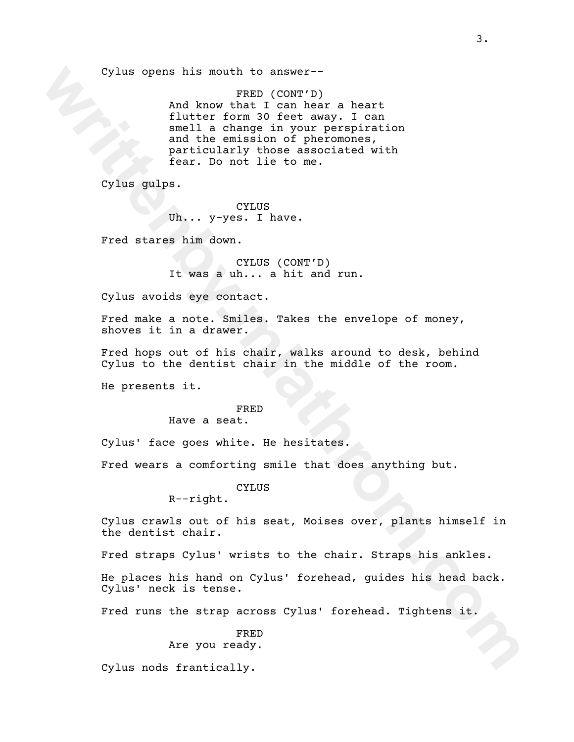Cylus opens his mouth to answer--

**cylus opens his mouth to answer-**<br>**And Amore Them heart** and the real head and the common control and the emission of pheromenas.<br>
and the emission of pheromenas,<br> **example in the common pheromenas**.<br> **Parts of the common** FRED (CONT'D) And know that I can hear a heart flutter form 30 feet away. I can smell a change in your perspiration and the emission of pheromones, particularly those associated with fear. Do not lie to me.

Cylus gulps.

CYLUS Uh... y-yes. I have.

Fred stares him down.

CYLUS (CONT'D) It was a uh... a hit and run.

Cylus avoids eye contact.

Fred make a note. Smiles. Takes the envelope of money, shoves it in a drawer.

Fred hops out of his chair, walks around to desk, behind Cylus to the dentist chair in the middle of the room.

He presents it.

# FRED

Have a seat.

Cylus' face goes white. He hesitates.

Fred wears a comforting smile that does anything but.

# CYLUS

R--right.

Cylus crawls out of his seat, Moises over, plants himself in the dentist chair.

Fred straps Cylus' wrists to the chair. Straps his ankles.

He places his hand on Cylus' forehead, guides his head back. Cylus' neck is tense.

Fred runs the strap across Cylus' forehead. Tightens it.

# FRED Are you ready.

Cylus nods frantically.